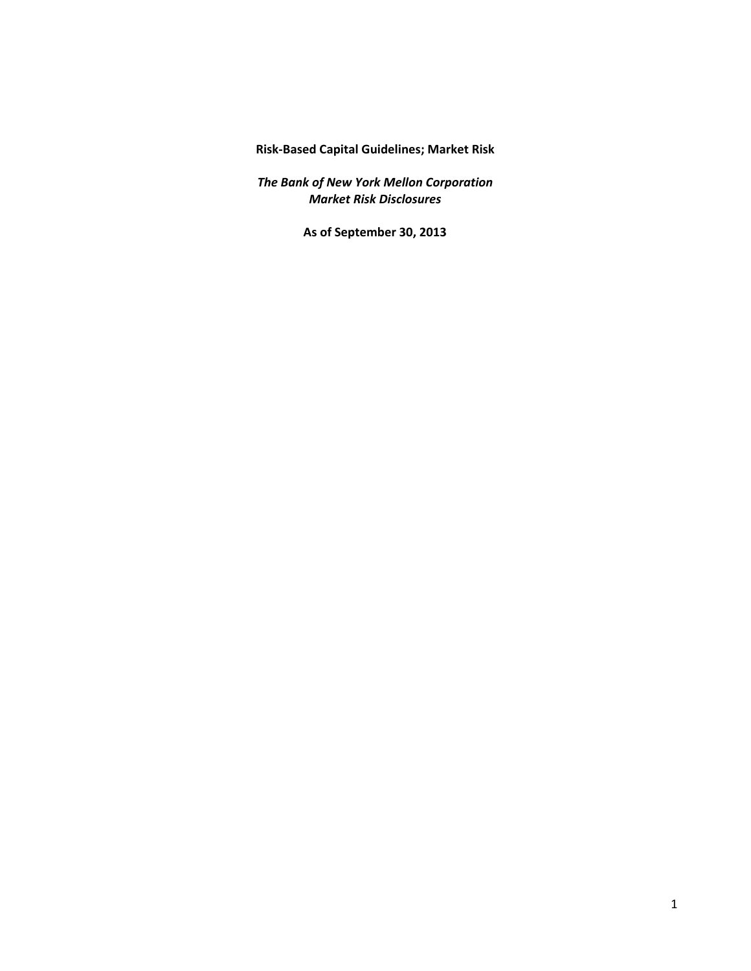**Risk-Based Capital Guidelines; Market Risk** 

*The Bank of New York Mellon Corporation Market Risk Disclosures* 

**As of September 30, 2013**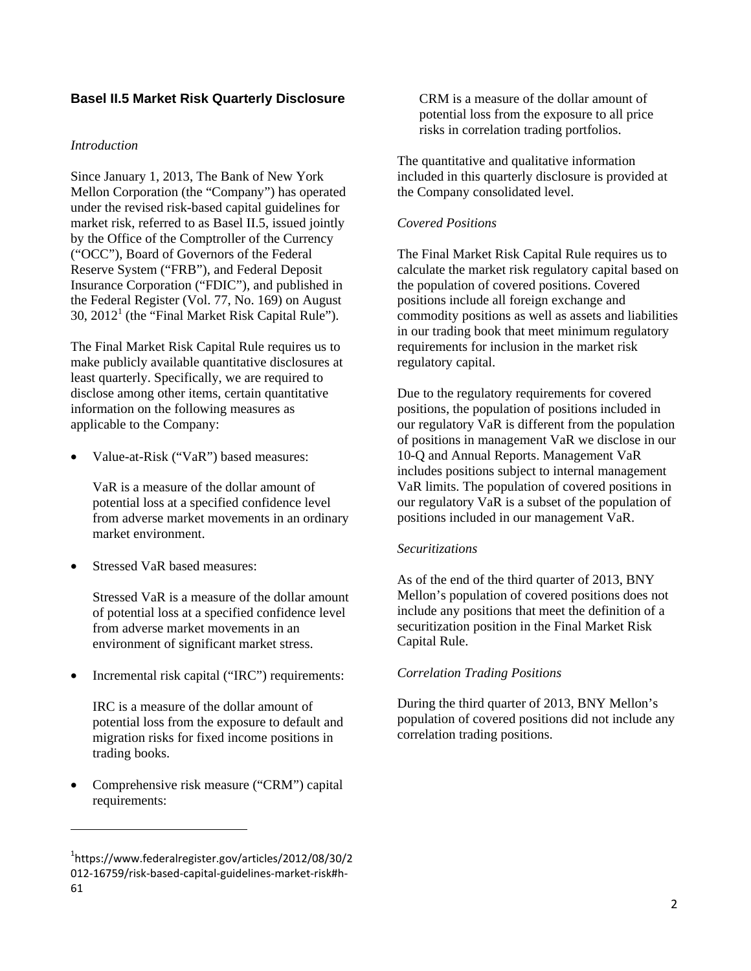# **Basel II.5 Market Risk Quarterly Disclosure**

#### *Introduction*

Since January 1, 2013, The Bank of New York Mellon Corporation (the "Company") has operated under the revised risk-based capital guidelines for market risk, referred to as Basel II.5, issued jointly by the Office of the Comptroller of the Currency ("OCC"), Board of Governors of the Federal Reserve System ("FRB"), and Federal Deposit Insurance Corporation ("FDIC"), and published in the Federal Register (Vol. 77, No. 169) on August  $30$ ,  $2012<sup>1</sup>$  (the "Final Market Risk Capital Rule").

The Final Market Risk Capital Rule requires us to make publicly available quantitative disclosures at least quarterly. Specifically, we are required to disclose among other items, certain quantitative information on the following measures as applicable to the Company:

• Value-at-Risk ("VaR") based measures:

VaR is a measure of the dollar amount of potential loss at a specified confidence level from adverse market movements in an ordinary market environment.

Stressed VaR based measures:

Stressed VaR is a measure of the dollar amount of potential loss at a specified confidence level from adverse market movements in an environment of significant market stress.

• Incremental risk capital ("IRC") requirements:

IRC is a measure of the dollar amount of potential loss from the exposure to default and migration risks for fixed income positions in trading books.

• Comprehensive risk measure ("CRM") capital requirements:

 $\overline{a}$ 

CRM is a measure of the dollar amount of potential loss from the exposure to all price risks in correlation trading portfolios.

The quantitative and qualitative information included in this quarterly disclosure is provided at the Company consolidated level.

### *Covered Positions*

The Final Market Risk Capital Rule requires us to calculate the market risk regulatory capital based on the population of covered positions. Covered positions include all foreign exchange and commodity positions as well as assets and liabilities in our trading book that meet minimum regulatory requirements for inclusion in the market risk regulatory capital.

Due to the regulatory requirements for covered positions, the population of positions included in our regulatory VaR is different from the population of positions in management VaR we disclose in our 10-Q and Annual Reports. Management VaR includes positions subject to internal management VaR limits. The population of covered positions in our regulatory VaR is a subset of the population of positions included in our management VaR.

#### *Securitizations*

As of the end of the third quarter of 2013, BNY Mellon's population of covered positions does not include any positions that meet the definition of a securitization position in the Final Market Risk Capital Rule.

### *Correlation Trading Positions*

During the third quarter of 2013, BNY Mellon's population of covered positions did not include any correlation trading positions.

<sup>1</sup> [https://www.federalregister.gov/articles/2012/08/30/2](https://1https://www.federalregister.gov/articles/2012/08/30/2)  012-16759/risk-based-capital-guidelines-market-risk#h-61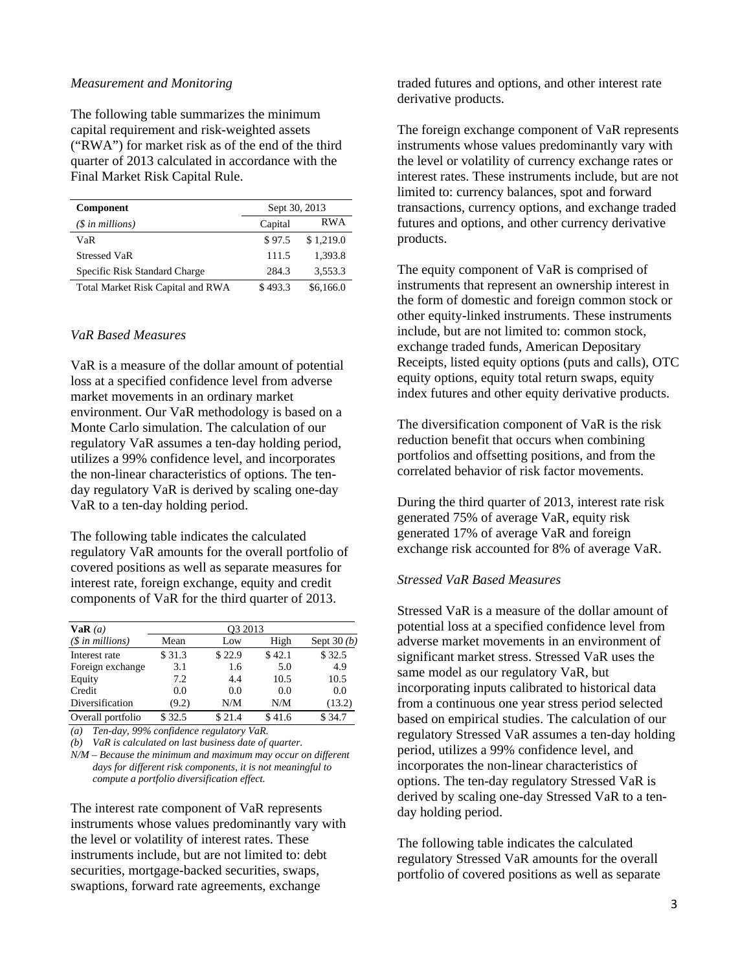#### *Measurement and Monitoring*

The following table summarizes the minimum capital requirement and risk-weighted assets ("RWA") for market risk as of the end of the third quarter of 2013 calculated in accordance with the Final Market Risk Capital Rule.

| <b>Component</b>                  | Sept 30, 2013 |            |
|-----------------------------------|---------------|------------|
| $(\$$ in millions)                | Capital       | <b>RWA</b> |
| VaR                               | \$97.5        | \$1,219.0  |
| <b>Stressed VaR</b>               | 111.5         | 1.393.8    |
| Specific Risk Standard Charge     | 284.3         | 3,553.3    |
| Total Market Risk Capital and RWA | \$493.3       | \$6,166.0  |

#### *VaR Based Measures*

VaR is a measure of the dollar amount of potential loss at a specified confidence level from adverse market movements in an ordinary market environment. Our VaR methodology is based on a Monte Carlo simulation. The calculation of our regulatory VaR assumes a ten-day holding period, utilizes a 99% confidence level, and incorporates the non-linear characteristics of options. The tenday regulatory VaR is derived by scaling one-day VaR to a ten-day holding period.

The following table indicates the calculated regulatory VaR amounts for the overall portfolio of covered positions as well as separate measures for interest rate, foreign exchange, equity and credit components of VaR for the third quarter of 2013.

| VaR(a)            | O <sub>3</sub> 2013 |        |        |              |  |  |
|-------------------|---------------------|--------|--------|--------------|--|--|
| $($in$ millions)  | Mean                | Low    | High   | Sept $30(b)$ |  |  |
| Interest rate     | \$31.3              | \$22.9 | \$42.1 | \$32.5       |  |  |
| Foreign exchange  | 3.1                 | 1.6    | 5.0    | 4.9          |  |  |
| Equity            | 7.2                 | 4.4    | 10.5   | 10.5         |  |  |
| Credit            | 0.0                 | 0.0    | 0.0    | 0.0          |  |  |
| Diversification   | (9.2)               | N/M    | N/M    | (13.2)       |  |  |
| Overall portfolio | \$32.5              | \$21.4 | \$41.6 | \$34.7       |  |  |

*(a) Ten-day, 99% confidence regulatory VaR.* 

*(b) VaR is calculated on last business date of quarter.* 

*N/M* – *Because the minimum and maximum may occur on different days for different risk components, it is not meaningful to compute a portfolio diversification effect.* 

The interest rate component of VaR represents instruments whose values predominantly vary with the level or volatility of interest rates. These instruments include, but are not limited to: debt securities, mortgage-backed securities, swaps, swaptions, forward rate agreements, exchange

traded futures and options, and other interest rate derivative products.

The foreign exchange component of VaR represents instruments whose values predominantly vary with the level or volatility of currency exchange rates or interest rates. These instruments include, but are not limited to: currency balances, spot and forward transactions, currency options, and exchange traded futures and options, and other currency derivative products.

The equity component of VaR is comprised of instruments that represent an ownership interest in the form of domestic and foreign common stock or other equity-linked instruments. These instruments include, but are not limited to: common stock, exchange traded funds, American Depositary Receipts, listed equity options (puts and calls), OTC equity options, equity total return swaps, equity index futures and other equity derivative products.

The diversification component of VaR is the risk reduction benefit that occurs when combining portfolios and offsetting positions, and from the correlated behavior of risk factor movements.

During the third quarter of 2013, interest rate risk generated 75% of average VaR, equity risk generated 17% of average VaR and foreign exchange risk accounted for 8% of average VaR.

### *Stressed VaR Based Measures*

Stressed VaR is a measure of the dollar amount of potential loss at a specified confidence level from adverse market movements in an environment of significant market stress. Stressed VaR uses the same model as our regulatory VaR, but incorporating inputs calibrated to historical data from a continuous one year stress period selected based on empirical studies. The calculation of our regulatory Stressed VaR assumes a ten-day holding period, utilizes a 99% confidence level, and incorporates the non-linear characteristics of options. The ten-day regulatory Stressed VaR is derived by scaling one-day Stressed VaR to a tenday holding period.

The following table indicates the calculated regulatory Stressed VaR amounts for the overall portfolio of covered positions as well as separate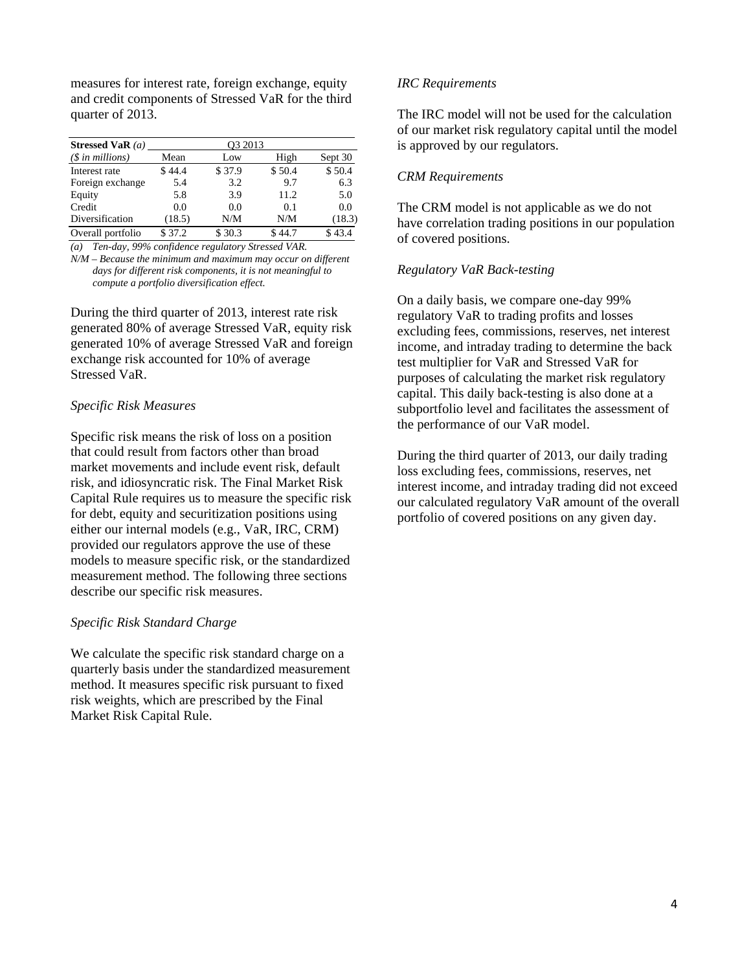measures for interest rate, foreign exchange, equity and credit components of Stressed VaR for the third quarter of 2013.

| Stressed VaR $(a)$ | O <sub>3</sub> 2013 |        |        |         |
|--------------------|---------------------|--------|--------|---------|
| $(\$$ in millions) | Mean                | Low    | High   | Sept 30 |
| Interest rate      | \$44.4              | \$37.9 | \$50.4 | \$50.4  |
| Foreign exchange   | 5.4                 | 3.2    | 9.7    | 6.3     |
| Equity             | 5.8                 | 3.9    | 11.2   | 5.0     |
| Credit             | 0.0                 | 0.0    | 0.1    | 0.0     |
| Diversification    | (18.5)              | N/M    | N/M    | (18.3)  |
| Overall portfolio  | \$37.2              | \$30.3 | \$44.7 | \$43.4  |

*(a) Ten-day, 99% confidence regulatory Stressed VAR.* 

*N/M* – *Because the minimum and maximum may occur on different days for different risk components, it is not meaningful to compute a portfolio diversification effect.* 

During the third quarter of 2013, interest rate risk generated 80% of average Stressed VaR, equity risk generated 10% of average Stressed VaR and foreign exchange risk accounted for 10% of average Stressed VaR.

# *Specific Risk Measures*

Specific risk means the risk of loss on a position that could result from factors other than broad market movements and include event risk, default risk, and idiosyncratic risk. The Final Market Risk Capital Rule requires us to measure the specific risk for debt, equity and securitization positions using either our internal models (e.g., VaR, IRC, CRM) provided our regulators approve the use of these models to measure specific risk, or the standardized measurement method. The following three sections describe our specific risk measures.

### *Specific Risk Standard Charge*

We calculate the specific risk standard charge on a quarterly basis under the standardized measurement method. It measures specific risk pursuant to fixed risk weights, which are prescribed by the Final Market Risk Capital Rule.

# *IRC Requirements*

The IRC model will not be used for the calculation of our market risk regulatory capital until the model is approved by our regulators.

### *CRM Requirements*

The CRM model is not applicable as we do not have correlation trading positions in our population of covered positions.

# *Regulatory VaR Back-testing*

On a daily basis, we compare one-day 99% regulatory VaR to trading profits and losses excluding fees, commissions, reserves, net interest income, and intraday trading to determine the back test multiplier for VaR and Stressed VaR for purposes of calculating the market risk regulatory capital. This daily back-testing is also done at a subportfolio level and facilitates the assessment of the performance of our VaR model.

During the third quarter of 2013, our daily trading loss excluding fees, commissions, reserves, net interest income, and intraday trading did not exceed our calculated regulatory VaR amount of the overall portfolio of covered positions on any given day.